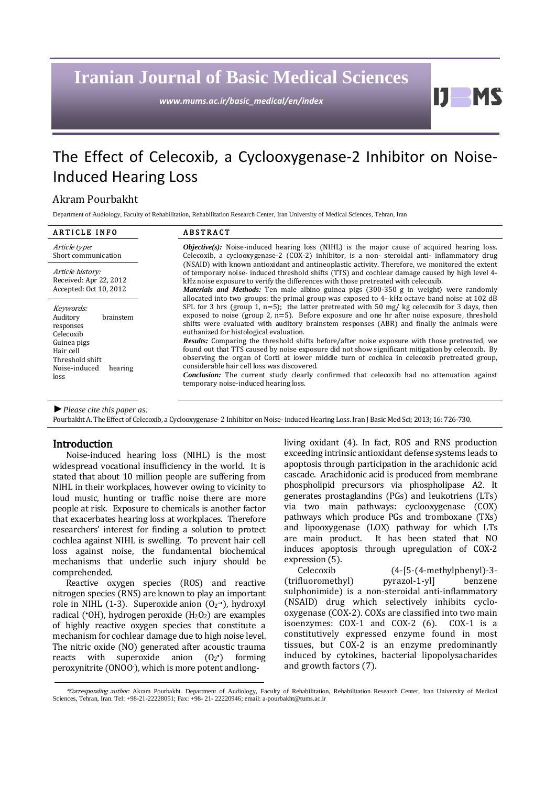## **Iranian Journal of Basic Medical Sciences**

*www.mums.ac.ir/basic\_medical/en/index*

## The Effect of Celecoxib, a Cyclooxygenase-2 Inhibitor on Noise-Induced Hearing Loss

### Akram Pourbakht

Department of Audiology, Faculty of Rehabilitation, Rehabilitation Research Center, Iran University of Medical Sciences, Tehran, Iran

| <b>ARTICLE INFO</b>                                                                                                                             | <b>ABSTRACT</b>                                                                                                                                                                                                                                                                                                                                                                                                                                                                                                                                                                                                                                                                                                                                                                                                                                                                                                                                                                                                                                                                                                                                                                                                                                                                                                                                                                                                                                                                                                                                      |
|-------------------------------------------------------------------------------------------------------------------------------------------------|------------------------------------------------------------------------------------------------------------------------------------------------------------------------------------------------------------------------------------------------------------------------------------------------------------------------------------------------------------------------------------------------------------------------------------------------------------------------------------------------------------------------------------------------------------------------------------------------------------------------------------------------------------------------------------------------------------------------------------------------------------------------------------------------------------------------------------------------------------------------------------------------------------------------------------------------------------------------------------------------------------------------------------------------------------------------------------------------------------------------------------------------------------------------------------------------------------------------------------------------------------------------------------------------------------------------------------------------------------------------------------------------------------------------------------------------------------------------------------------------------------------------------------------------------|
| Article type:<br>Short communication                                                                                                            | <i>Objective(s)</i> : Noise-induced hearing loss (NIHL) is the major cause of acquired hearing loss.<br>Celecoxib, a cyclooxygenase-2 (COX-2) inhibitor, is a non-steroidal anti-inflammatory drug<br>(NSAID) with known antioxidant and antineoplastic activity. Therefore, we monitored the extent<br>of temporary noise- induced threshold shifts (TTS) and cochlear damage caused by high level 4-<br>kHz noise exposure to verify the differences with those pretreated with celecoxib.<br><i>Materials and Methods:</i> Ten male albino guinea pigs (300-350 g in weight) were randomly<br>allocated into two groups: the primal group was exposed to 4- kHz octave band noise at 102 dB<br>SPL for 3 hrs (group 1, $n=5$ ); the latter pretreated with 50 mg/ kg celecoxib for 3 days, then<br>exposed to noise (group 2, $n=5$ ). Before exposure and one hr after noise exposure, threshold<br>shifts were evaluated with auditory brainstem responses (ABR) and finally the animals were<br>euthanized for histological evaluation.<br><b>Results:</b> Comparing the threshold shifts before/after noise exposure with those pretreated, we<br>found out that TTS caused by noise exposure did not show significant mitigation by celecoxib. By<br>observing the organ of Corti at lower middle turn of cochlea in celecoxib pretreated group,<br>considerable hair cell loss was discovered.<br><b>Conclusion:</b> The current study clearly confirmed that celecoxib had no attenuation against<br>temporary noise-induced hearing loss. |
| Article history:<br>Received: Apr 22, 2012<br>Accepted: Oct 10, 2012                                                                            |                                                                                                                                                                                                                                                                                                                                                                                                                                                                                                                                                                                                                                                                                                                                                                                                                                                                                                                                                                                                                                                                                                                                                                                                                                                                                                                                                                                                                                                                                                                                                      |
| Keywords:<br>Auditory<br>brainstem<br>responses<br>Celecoxib<br>Guinea pigs<br>Hair cell<br>Threshold shift<br>Noise-induced<br>hearing<br>loss |                                                                                                                                                                                                                                                                                                                                                                                                                                                                                                                                                                                                                                                                                                                                                                                                                                                                                                                                                                                                                                                                                                                                                                                                                                                                                                                                                                                                                                                                                                                                                      |

*►Please cite this paper as:*

Pourbakht A. The Effect of Celecoxib, a Cyclooxygenase- 2 Inhibitor on Noise-induced Hearing Loss. Iran J Basic Med Sci; 2013; 16: 726-730.

Introduction<br>Noise-induced hearing loss (NIHL) is the most widespread vocational insufficiency in the world. It is stated that about 10 million people are suffering from NIHL in their workplaces, however owing to vicinity to loud music, hunting or traffic noise there are more people at risk. Exposure to chemicals is another factor that exacerbates hearing loss at workplaces. Therefore researchers' interest for finding a solution to protect cochlea against NIHL is swelling. To prevent hair cell loss against noise, the fundamental biochemical mechanisms that underlie such injury should be comprehended.

Reactive oxygen species (ROS) and reactive nitrogen species (RNS) are known to play an important role in NIHL (1-3). Superoxide anion  $(0_2^{\bullet})$ , hydroxyl radical ( $O$ H), hydrogen peroxide ( $H_2O_2$ ) are examples of highly reactive oxygen species that constitute a mechanism for cochlear damage due to high noise level. The nitric oxide (NO) generated after acoustic trauma<br>reacts with superoxide anion  $(O_2^*)$  forming superoxide anion  $(0_2^{\bullet})$ •) forming peroxynitrite (ONOO- ), which is more potent andlongliving oxidant (4). In fact, ROS and RNS production exceeding intrinsic antioxidant defensesystems leads to apoptosis through participation in the arachidonic acid cascade. Arachidonic acid is produced from membrane phospholipid precursors via phospholipase A2. It generates prostaglandins (PGs) and leukotriens (LTs) via two main pathways: cyclooxygenase (COX) pathways which produce PGs and tromboxane (TXs) and lipooxygenase (LOX) pathway for which LTs are main product. It has been stated that NO induces apoptosis through upregulation of COX-2

 $\mathbf{U}$ 

expression (5).<br>Celecoxib  $(4-[5-(4-methylphenyl)-3-  
pyrazol-1-yl]$  benzene (trifluoromethyl) sulphonimide) is a non-steroidal anti-inflammatory (NSAID) drug which selectively inhibits cyclooxygenase (COX-2). COXs are classified into two main isoenzymes: COX-1 and COX-2 (6). COX-1 is a constitutively expressed enzyme found in most tissues, but COX-2 is an enzyme predominantly induced by cytokines, bacterial lipopolysacharides and growth factors (7).

<sup>\*</sup>Corresponding author: Akram Pourbakht. Department of Audiology, Faculty of Rehabilitation, Rehabilitation Research Center, Iran University of Medical Sciences, Tehran, Iran. Tel: +98-21-22228051; Fax: +98- 21- 22220946; email[: a-pourbakht@tums.ac.ir](mailto:a-pourbakht@tums.ac.ir)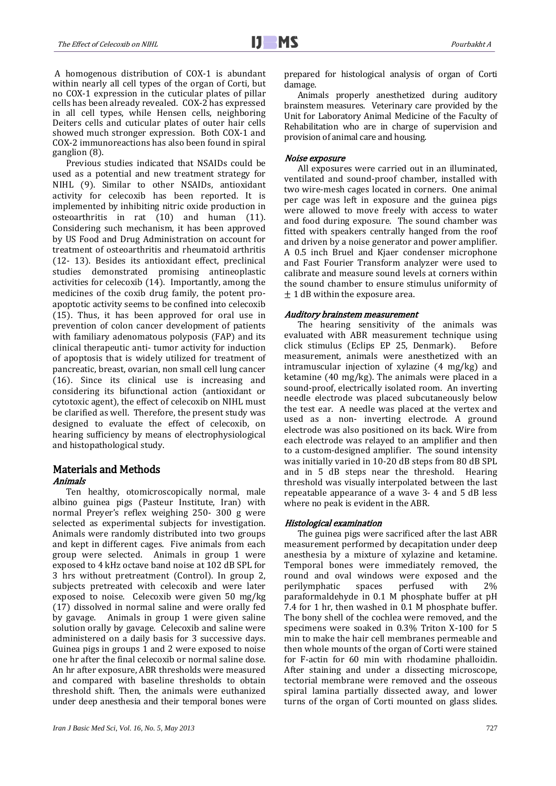A homogenous distribution of COX-1 is abundant within nearly all cell types of the organ of Corti, but no COX-1 expression in the cuticular plates of pillar cells has been already revealed. COX-2 has expressed in all cell types, while Hensen cells, neighboring Deiters cells and cuticular plates of outer hair cells showed much stronger expression. Both COX-1 and COX-2 immunoreactions has also been found in spiral ganglion (8).

Previous studies indicated that NSAIDs could be used as a potential and new treatment strategy for NIHL (9). Similar to other NSAIDs, antioxidant activity for celecoxib has been reported. It is implemented by inhibiting nitric oxide production in osteoarthritis in rat (10) and human (11). Considering such mechanism, it has been approved by US Food and Drug Administration on account for treatment of osteoarthritis and rheumatoid arthritis (12- 13). Besides its antioxidant effect, preclinical studies demonstrated promising antineoplastic activities for celecoxib (14). Importantly, among the medicines of the coxib drug family, the potent proapoptotic activity seems to be confined into celecoxib (15). Thus, it has been approved for oral use in prevention of colon cancer development of patients with familiary adenomatous polyposis (FAP) and its clinical therapeutic anti- tumor activity for induction of apoptosis that is widely utilized for treatment of pancreatic, breast, ovarian, non small cell lung cancer (16). Since its clinical use is increasing and considering its bifunctional action (antioxidant or cytotoxic agent), the effect of celecoxib on NIHL must be clarified as well. Therefore, the present study was designed to evaluate the effect of celecoxib, on hearing sufficiency by means of electrophysiological and histopathological study.

# Materials and Methods<br>Animals

Ten healthy, otomicroscopically normal, male albino guinea pigs (Pasteur Institute, Iran) with normal Preyer's reflex weighing 250- 300 g were selected as experimental subjects for investigation. Animals were randomly distributed into two groups and kept in different cages. Five animals from each group were selected. Animals in group 1 were exposed to 4 kHz octave band noise at 102 dB SPL for 3 hrs without pretreatment (Control). In group 2, subjects pretreated with celecoxib and were later exposed to noise. Celecoxib were given 50 mg/kg (17) dissolved in normal saline and were orally fed by gavage. Animals in group 1 were given saline solution orally by gavage. Celecoxib and saline were administered on a daily basis for 3 successive days. Guinea pigs in groups 1 and 2 were exposed to noise one hr after the final celecoxib or normal saline dose. An hr after exposure, ABR thresholds were measured and compared with baseline thresholds to obtain threshold shift. Then, the animals were euthanized under deep anesthesia and their temporal bones were prepared for histological analysis of organ of Corti damage.

Animals properly anesthetized during auditory brainstem measures. Veterinary care provided by the Unit for Laboratory Animal Medicine of the Faculty of Rehabilitation who are in charge of supervision and provision of animal care and housing.

#### Noise exposure

All exposures were carried out in an illuminated, ventilated and sound-proof chamber, installed with two wire-mesh cages located in corners. One animal per cage was left in exposure and the guinea pigs were allowed to move freely with access to water and food during exposure. The sound chamber was fitted with speakers centrally hanged from the roof and driven by a noise generator and power amplifier. A 0.5 inch Bruel and Kjaer condenser microphone and Fast Fourier Transform analyzer were used to calibrate and measure sound levels at corners within the sound chamber to ensure stimulus uniformity of  $\pm$  1 dB within the exposure area.

#### Auditory brainstem measurement

The hearing sensitivity of the animals was evaluated with ABR measurement technique using<br>click stimulus (Eclips EP 25, Denmark). Before click stimulus (Eclips EP 25, Denmark). measurement, animals were anesthetized with an intramuscular injection of xylazine (4 mg/kg) and ketamine (40 mg/kg). The animals were placed in a sound-proof, electrically isolated room. An inverting needle electrode was placed subcutaneously below the test ear. A needle was placed at the vertex and used as a non- inverting electrode. A ground electrode was also positioned on its back. Wire from each electrode was relayed to an amplifier and then to a custom-designed amplifier. The sound intensity was initially varied in 10-20 dB steps from 80 dB SPL and in 5 dB steps near the threshold. Hearing threshold was visually interpolated between the last repeatable appearance of a wave 3- 4 and 5 dB less where no peak is evident in the ABR.

### Histological examination

The guinea pigs were sacrificed after the last ABR measurement performed by decapitation under deep anesthesia by a mixture of xylazine and ketamine. Temporal bones were immediately removed, the round and oval windows were exposed and the perilymphatic spaces perfused with 2% perilymphatic paraformaldehyde in 0.1 M phosphate buffer at pH 7.4 for 1 hr, then washed in 0.1 M phosphate buffer. The bony shell of the cochlea were removed, and the specimens were soaked in 0.3% Triton X-100 for 5 min to make the hair cell membranes permeable and then whole mounts of the organ of Corti were stained for F-actin for 60 min with rhodamine phalloidin. After staining and under a dissecting microscope, tectorial membrane were removed and the osseous spiral lamina partially dissected away, and lower turns of the organ of Corti mounted on glass slides.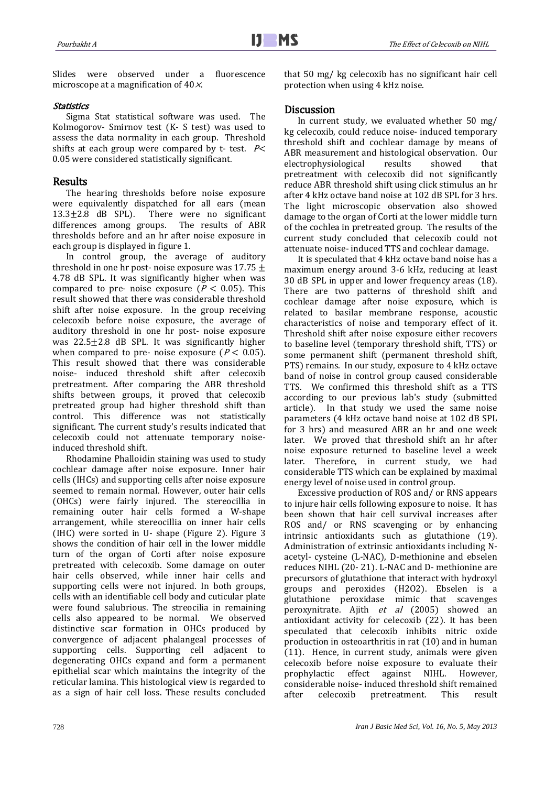Slides were observed under a fluorescence microscope at a magnification of  $40 \times$ .

#### Statistics

Sigma Stat statistical software was used. The Kolmogorov- Smirnov test (K- S test) was used to assess the data normality in each group. Threshold shifts at each group were compared by t- test.  $P<$ 0.05 were considered statistically significant.

### **Results**

The hearing thresholds before noise exposure were equivalently dispatched for all ears (mean  $13.3 \pm 2.8$  dB SPL). There were no significant There were no significant<br>bups. The results of ABR differences among groups. thresholds before and an hr after noise exposure in each group is displayed in figure 1.

In control group, the average of auditory threshold in one hr post- noise exposure was  $17.75 \pm$ 4.78 dB SPL. It was significantly higher when was compared to pre- noise exposure ( $P < 0.05$ ). This result showed that there was considerable threshold shift after noise exposure. In the group receiving celecoxib before noise exposure, the average of auditory threshold in one hr post- noise exposure was  $22.5 \pm 2.8$  dB SPL. It was significantly higher when compared to pre- noise exposure ( $P < 0.05$ ). This result showed that there was considerable noise- induced threshold shift after celecoxib pretreatment. After comparing the ABR threshold shifts between groups, it proved that celecoxib pretreated group had higher threshold shift than control. This difference was not statistically significant. The current study's results indicated that celecoxib could not attenuate temporary noiseinduced threshold shift.

Rhodamine Phalloidin staining was used to study cochlear damage after noise exposure. Inner hair cells (IHCs) and supporting cells after noise exposure seemed to remain normal. However, outer hair cells (OHCs) were fairly injured. The stereocillia in remaining outer hair cells formed a W-shape arrangement, while stereocillia on inner hair cells (IHC) were sorted in U- shape (Figure 2). Figure 3 shows the condition of hair cell in the lower middle turn of the organ of Corti after noise exposure pretreated with celecoxib. Some damage on outer hair cells observed, while inner hair cells and supporting cells were not injured. In both groups, cells with an identifiable cell body and cuticular plate were found salubrious. The streocilia in remaining cells also appeared to be normal. We observed distinctive scar formation in OHCs produced by convergence of adjacent phalangeal processes of supporting cells. Supporting cell adjacent to degenerating OHCs expand and form a permanent epithelial scar which maintains the integrity of the reticular lamina. This histological view is regarded to as a sign of hair cell loss. These results concluded

that 50 mg/ kg celecoxib has no significant hair cell protection when using 4 kHz noise.

## l

**Discussion**<br>In current study, we evaluated whether 50 mg/ kg celecoxib, could reduce noise- induced temporary threshold shift and cochlear damage by means of ABR measurement and histological observation. Our electrophysiological results showed that electrophysiological results showed that pretreatment with celecoxib did not significantly reduce ABR threshold shift using click stimulus an hr after 4 kHz octave band noise at 102 dB SPL for 3 hrs. The light microscopic observation also showed damage to the organ of Corti at the lower middle turn of the cochlea in pretreated group. The results of the current study concluded that celecoxib could not attenuate noise- induced TTS and cochlear damage.

It is speculated that 4 kHz octave band noise has a maximum energy around 3-6 kHz, reducing at least 30 dB SPL in upper and lower frequency areas (18). There are two patterns of threshold shift and cochlear damage after noise exposure, which is related to basilar membrane response, acoustic characteristics of noise and temporary effect of it. Threshold shift after noise exposure either recovers to baseline level (temporary threshold shift, TTS) or some permanent shift (permanent threshold shift, PTS) remains. In our study, exposure to 4 kHz octave band of noise in control group caused considerable TTS. We confirmed this threshold shift as a TTS according to our previous lab's study (submitted article). In that study we used the same noise parameters (4 kHz octave band noise at 102 dB SPL for 3 hrs) and measured ABR an hr and one week later. We proved that threshold shift an hr after noise exposure returned to baseline level a week later. Therefore, in current study, we had considerable TTS which can be explained by maximal energy level of noise used in control group.

Excessive production of ROS and/ or RNS appears to injure hair cells following exposure to noise. It has been shown that hair cell survival increases after ROS and/ or RNS scavenging or by enhancing intrinsic antioxidants such as glutathione (19). Administration of extrinsic antioxidants including Nacetyl- cysteine (L-NAC), D-methionine and ebselen reduces NIHL (20- 21). L-NAC and D- methionine are precursors of glutathione that interact with hydroxyl groups and peroxides (H2O2). Ebselen is a glutathione peroxidase mimic that scavenges peroxynitrate. Ajith et al (2005) showed an antioxidant activity for celecoxib (22). It has been speculated that celecoxib inhibits nitric oxide production in osteoarthritis in rat (10) and in human (11). Hence, in current study, animals were given celecoxib before noise exposure to evaluate their against NIHL. considerable noise- induced threshold shift remained pretreatment.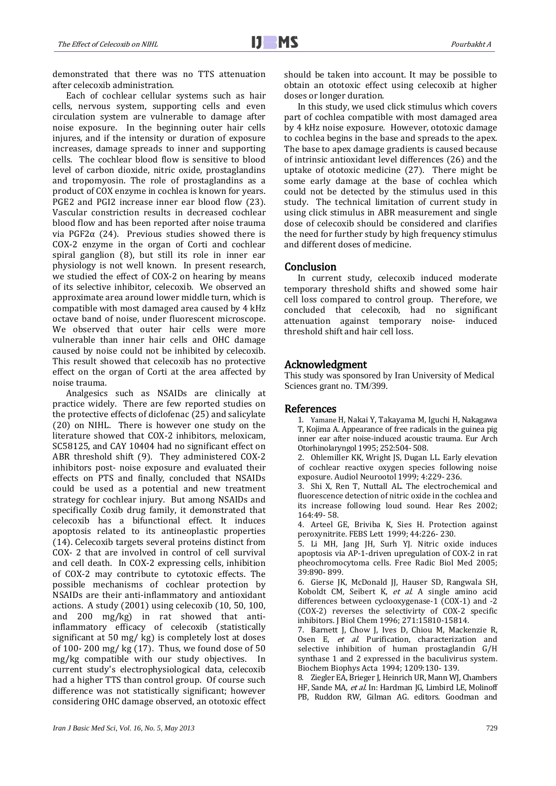demonstrated that there was no TTS attenuation after celecoxib administration.

Each of cochlear cellular systems such as hair cells, nervous system, supporting cells and even circulation system are vulnerable to damage after noise exposure. In the beginning outer hair cells injures, and if the intensity or duration of exposure increases, damage spreads to inner and supporting cells. The cochlear blood flow is sensitive to blood level of carbon dioxide, nitric oxide, prostaglandins and tropomyosin. The role of prostaglandins as a product of COX enzyme in cochlea is known for years. PGE2 and PGI2 increase inner ear blood flow (23). Vascular constriction results in decreased cochlear blood flow and has been reported after noise trauma via PGF2α (24). Previous studies showed there is COX-2 enzyme in the organ of Corti and cochlear spiral ganglion (8), but still its role in inner ear physiology is not well known. In present research, we studied the effect of COX-2 on hearing by means of its selective inhibitor, celecoxib. We observed an approximate area around lower middle turn, which is compatible with most damaged area caused by 4 kHz octave band of noise, under fluorescent microscope. We observed that outer hair cells were more vulnerable than inner hair cells and OHC damage caused by noise could not be inhibited by celecoxib. This result showed that celecoxib has no protective effect on the organ of Corti at the area affected by noise trauma.

Analgesics such as NSAIDs are clinically at practice widely. There are few reported studies on the protective effects of diclofenac (25) and salicylate (20) on NIHL. There is however one study on the literature showed that COX-2 inhibitors, meloxicam, SC58125, and CAY 10404 had no significant effect on ABR threshold shift (9). They administered COX-2 inhibitors post- noise exposure and evaluated their effects on PTS and finally, concluded that NSAIDs could be used as a potential and new treatment strategy for cochlear injury. But among NSAIDs and specifically Coxib drug family, it demonstrated that celecoxib has a bifunctional effect. It induces apoptosis related to its antineoplastic properties (14). Celecoxib targets several proteins distinct from COX- 2 that are involved in control of cell survival and cell death. In COX-2 expressing cells, inhibition of COX-2 may contribute to cytotoxic effects. The possible mechanisms of cochlear protection by NSAIDs are their anti-inflammatory and antioxidant actions. A study (2001) using celecoxib (10, 50, 100, and 200 mg/kg) in rat showed that antiinflammatory efficacy of celecoxib (statistically significant at 50 mg/ kg) is completely lost at doses of 100- 200 mg/ kg (17). Thus, we found dose of 50 mg/kg compatible with our study objectives. In current study's electrophysiological data, celecoxib had a higher TTS than control group. Of course such difference was not statistically significant; however considering OHC damage observed, an ototoxic effect

should be taken into account. It may be possible to obtain an ototoxic effect using celecoxib at higher doses or longer duration.

In this study, we used click stimulus which covers part of cochlea compatible with most damaged area by 4 kHz noise exposure. However, ototoxic damage to cochlea begins in the base and spreads to the apex. The base to apex damage gradients is caused because of intrinsic antioxidant level differences (26) and the uptake of ototoxic medicine (27). There might be some early damage at the base of cochlea which could not be detected by the stimulus used in this study. The technical limitation of current study in using click stimulus in ABR measurement and single dose of celecoxib should be considered and clarifies the need for further study by high frequency stimulus and different doses of medicine.

**Conclusion**<br>In current study, celecoxib induced moderate temporary threshold shifts and showed some hair cell loss compared to control group. Therefore, we concluded that celecoxib, had no significant concluded that celecoxib, had no attenuation against temporary noise- induced threshold shift and hair cell loss.

### Acknowledgment

This study was sponsored by Iran University of Medical Sciences grant no. TM/399.

- **References**<br>1. Yamane H, Nakai Y, Takayama M, Iguchi H, Nakagawa T, Kojima A. Appearance of free radicals in the guinea pig inner ear after noise-induced acoustic trauma. Eur Arch Otorhinolaryngol 1995; 252:504- 508.
	- 2. Ohlemiller KK, Wright JS, Dugan LL. Early elevation of cochlear reactive oxygen species following noise exposure. Audiol Neurootol 1999; 4:229- 236.
	- 3. Shi X, Ren T, Nuttall AL. The electrochemical and fluorescence detection of nitric oxide in the cochlea and its increase following loud sound. Hear Res 2002; 164:49- 58.
	- 4. Arteel GE, Briviba K, Sies H. Protection against peroxynitrite. FEBS Lett 1999; 44:226- 230.
	- 5. Li MH, Jang JH, Surh YJ. Nitric oxide induces apoptosis via AP-1-driven upregulation of COX-2 in rat pheochromocytoma cells. Free Radic Biol Med 2005; 39:890- 899.
	- 6. Gierse JK, McDonald JJ, Hauser SD, Rangwala SH, Koboldt CM, Seibert K, et al. A single amino acid differences between cyclooxygenase-1 (COX-1) and -2 (COX-2) reverses the selectivirty of COX-2 specific inhibitors. J Biol Chem 1996; 271:15810-15814.
	- 7. Barnett J, Chow J, Ives D, Chiou M, Mackenzie R, Osen E, et al. Purification, characterization and selective inhibition of human prostaglandin G/H synthase 1 and 2 expressed in the baculivirus system. Biochem Biophys Acta 1994; 1209:130- 139.
	- 8. Ziegler EA, Brieger J, Heinrich UR, Mann WJ, Chambers HF, Sande MA, et al. In: Hardman JG, Limbird LE, Molinoff PB, Ruddon RW, Gilman AG. editors. Goodman and